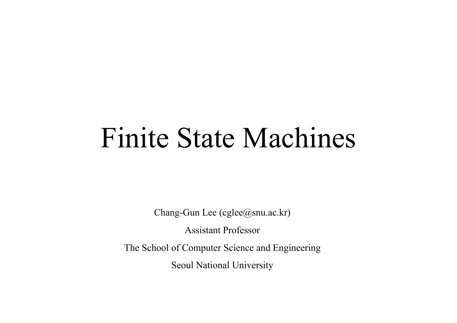# Finite State Machines

Chang-Gun Lee (cglee@snu.ac.kr)

Assistant Professo r

The School of Computer Science and Engineering

Seoul National University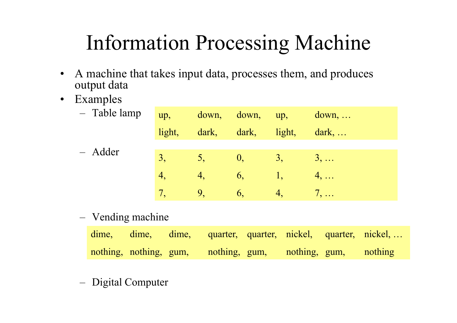# Information Processin g Machine

- $\bullet$  A machine that takes input data, processes them, and produces output data
- $\bullet$ Examples

| - Table lamp | up,            |           | down, down, up,           |    | $down, \ldots$                      |
|--------------|----------------|-----------|---------------------------|----|-------------------------------------|
|              | light,         | dark,     | dark, light,              |    | $\lceil \text{dark}, \ldots \rceil$ |
| - Adder      |                |           |                           |    |                                     |
|              | 3,             | 5,        | $\vert 0, \vert$          | 3, | $3, \ldots$                         |
|              | $\overline{4}$ | $\ket{4}$ | 6,                        |    | $4, \ldots$                         |
|              |                | 9.        | $\mathbf{b}_{\mathbf{a}}$ | 4, | $7, \ldots$                         |

<u>– Liberator Angelski, politik artistik (</u> Vending machine

|  |                                      |                       | dime, dime, dime, quarter, quarter, nickel, quarter, nickel, |
|--|--------------------------------------|-----------------------|--------------------------------------------------------------|
|  | nothing, nothing, gum, nothing, gum, | nothing, gum, nothing |                                                              |

Digital Computer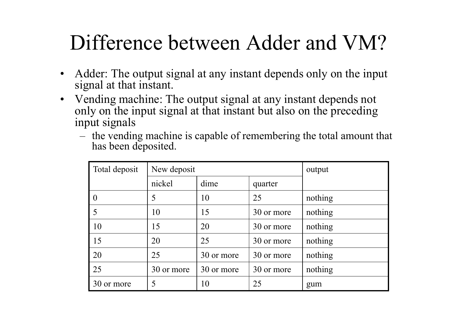### Difference between Adder and VM?

- • Adder: The output signal at any instant depends only on the input signal at that instant.
- Vending machine: The output signal at any instant depends not only on the input signal at that instant but also on the preceding input signals
	- the vending machine is capable of remembering the total amount that has been deposited.

| Total deposit | New deposit |            | output     |         |
|---------------|-------------|------------|------------|---------|
|               | nickel      | dime       | quarter    |         |
|               | 5           | 10         | 25         | nothing |
| 5             | 10          | 15         | 30 or more | nothing |
| 10            | 15          | 20         | 30 or more | nothing |
| 15            | 20          | 25         | 30 or more | nothing |
| 20            | 25          | 30 or more | 30 or more | nothing |
| 25            | 30 or more  | 30 or more | 30 or more | nothing |
| 30 or more    | 5           | 10         | 25         | gum     |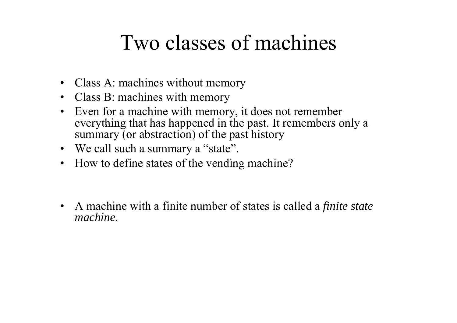#### Two classes of machines

- Class A: machines without memory
- Class B: machines with memory
- $\bullet$  Even for a machine with memory, it does not remember everything that has happened in the past. It remembers only a summary (or abstraction) of the past history
- We call such a summary a "state".
- How to define states of the vending machine?
- $\bullet$  A machine with a finite number of states is called a *finite state machine*.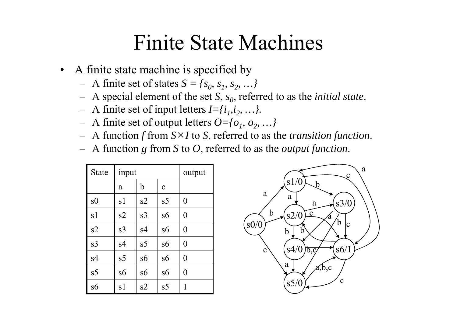#### Finite State Machines

- • A finite state machine is specified by
	- $-$  A finite set of states  $S = \{s_0, s_1, s_2, ...\}$
	- A special element of the set *S*, *<sup>s</sup> <sup>0</sup>*, referred to as the *initial state*.
	- A finite set of input letters  $I = \{i_1, i_2, \ldots\}$ .
	- $-$  A finite set of output letters  $O = \{o_1, o_2, ...\}$
	- –A function *f* from *S* × *I* to *S*, referred to as the *transition function*.
	- A function *g* from *S* to *O*, referred to as the *output function*.

| <b>State</b>   | input          |                | output         |                |
|----------------|----------------|----------------|----------------|----------------|
|                | a              | $\mathbf b$    | $\mathbf{C}$   |                |
| s0             | s1             | s2             | s <sub>5</sub> | $\theta$       |
| s1             | s2             | s <sub>3</sub> | s6             | $\theta$       |
| s2             | s <sub>3</sub> | s4             | s6             | $\overline{0}$ |
| s <sub>3</sub> | s4             | s5             | s6             | $\overline{0}$ |
| s4             | s <sub>5</sub> | s6             | s6             | $\theta$       |
| s <sub>5</sub> | s6             | s6             | s6             | $\theta$       |
| s6             | s1             | s2             | s5             | 1              |

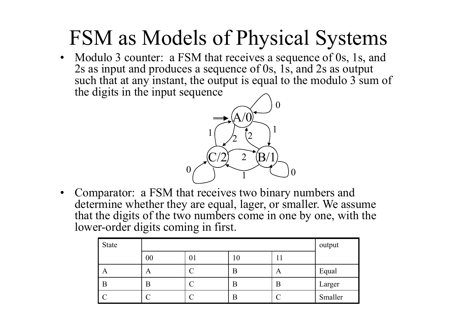### FSM as Models of Physical Systems

• Modulo 3 counter: a FSM that receives a sequence of 0s, 1s, and 2s as input and produces a sequence of 0s, 1s, and 2s as output such that at any instant, the output is equal to the modulo 3 sum of the digits in the input sequence



•Comparator: a FSM that receives two binary numbers and determine whether the y are equal, la ger, or smaller. We assume that the digits of the two numbers come in one by one, with the lower-order digits coming in first.

| State |        | output |                |   |         |
|-------|--------|--------|----------------|---|---------|
|       | $00\,$ | UΙ     | $\overline{0}$ |   |         |
| A     | A      |        |                | A | Equal   |
| B     | B      |        | n              | В | Larger  |
|       |        |        | n              |   | Smaller |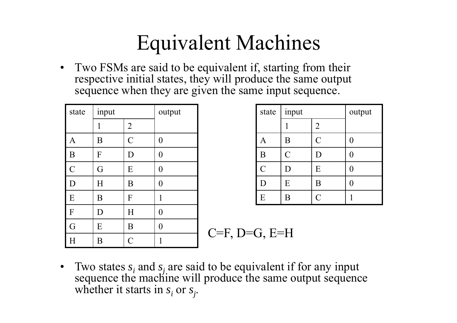### Equivalent Machines

• Two FSMs are said to be equivalent if, starting from their respective initial states, they will produce the same output sequence when they are given the same input sequence.

| state         | input                                               |                | output         |                       | state         | imp           |  |  |  |  |
|---------------|-----------------------------------------------------|----------------|----------------|-----------------------|---------------|---------------|--|--|--|--|
|               |                                                     | $\overline{2}$ |                |                       |               |               |  |  |  |  |
| A             | B                                                   | $\overline{C}$ | $\theta$       |                       | A             | B             |  |  |  |  |
| B             | F                                                   | D              | $\overline{0}$ |                       | B             | $\mathcal{C}$ |  |  |  |  |
| $\mathcal{C}$ | G                                                   | E              | $\theta$       |                       | $\mathcal{C}$ | D             |  |  |  |  |
| D             | H                                                   | B              | $\overline{0}$ |                       | D             | E             |  |  |  |  |
| E             | B                                                   | F              | 1              |                       | E             | B             |  |  |  |  |
| F             | D                                                   | Η              | $\theta$       |                       |               |               |  |  |  |  |
| G             | E                                                   | B              | $\overline{0}$ |                       |               |               |  |  |  |  |
| H             | B                                                   | $\mathcal{C}$  | 1              | $C=F$ , $D=G$ , $E=H$ |               |               |  |  |  |  |
| $\bullet$     | Two states $s$ and $s$ are said to be equivalent if |                |                |                       |               |               |  |  |  |  |

| output         | state          | input  |                | output |
|----------------|----------------|--------|----------------|--------|
|                |                |        | $\overline{2}$ |        |
| $\overline{0}$ | A              | Β      | C              |        |
| $\overline{0}$ | B              | C      |                |        |
| $\overline{0}$ | $\overline{C}$ | $\Box$ | Ε              |        |
| $\overline{0}$ | D              | E      | Β              |        |
|                | E              | Β      |                |        |

 Two states *si*sequence the machine will produce the same output sequence whether it starts in *s<sub>i</sub>* or *s<sub>j</sub>*.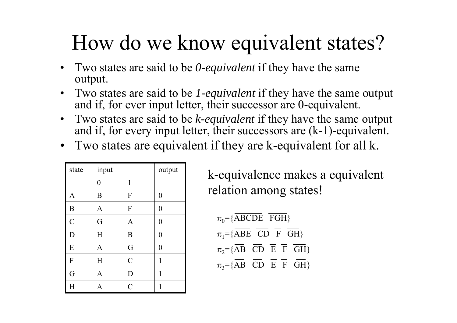### How do we know e quivalent states?

- Two states are said to be *0-equivalent* if they have the same output.
- Two states are said to be *1-equivalent* if they have the same output and if, for ever input letter, their successor are 0-equivalent.
- Two states are said to be *k-equivalent* if they have the same output and if, for every input letter, their successors are (k-1)-equivalent.
- •Two states are equivalent if they are k-equivalent for all k.

| state                   | input          | output         |                  |
|-------------------------|----------------|----------------|------------------|
|                         | $\overline{0}$ | 1              |                  |
| $\mathbf{A}$            | B              | F              | $\boldsymbol{0}$ |
| $\boldsymbol{B}$        | A              | F              | $\overline{0}$   |
| $\overline{C}$          | G              | $\mathbf{A}$   | $\overline{0}$   |
| $\overline{D}$          | H              | B              | $\boldsymbol{0}$ |
| ${\bf E}$               | A              | G              | $\overline{0}$   |
| ${\bf F}$               | H              | $\overline{C}$ | 1                |
| G                       | $\mathbf{A}$   | D              | 1                |
| $\overline{\mathrm{H}}$ | A              | $\overline{C}$ | 1                |

k-equivalence makes a equivalent relation among states!

 $\pi_0$ ={ABCDE FGH}  $\pi_1$ ={ABE CD F GH}  $\pi_2$ ={AB CD E F GH}  $\pi_3 = {\overline{AB}}$   $\overline{CD}$   $\overline{E}$   $\overline{F}$   $\overline{GH}$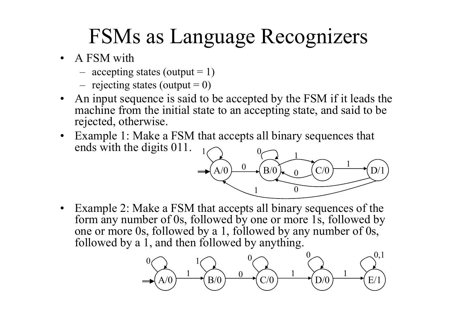### FSMs as Language Recognizers

- A FSM with
	- accepting states (output  $= 1$ )
	- $-$  rejecting states (output  $= 0$ )
- • An input sequence is said to be accepted by the FSM if it leads the machine from the initial state to an accepting state, and said to be rejected, otherwise.
- • Example 1: Make a FSM that accepts all binary sequences that ends with the digits  $011$ .



• Example 2: Make a FSM that accepts all binary sequences of the form any number of 0s, followed by one or more 1s, followed by one or more 0s, followed by <sup>a</sup> 1, followed by any number of 0s, followed by a 1, and then followed by anything.

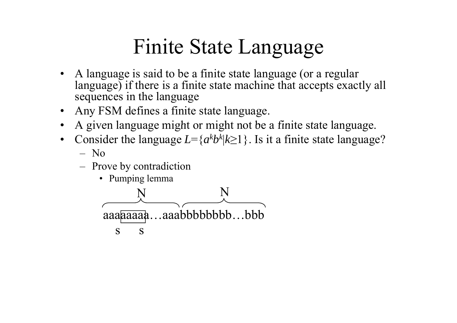## Finite State Language

- • A language is said to be a finite state language (or a regular language) if there is <sup>a</sup> finite state machine that accepts exactly all sequences in the language
- •Any FSM defines a finite state language.
- •• A given language might or might not be a finite state language.
- •Consider the language  $L = \{a^k b^k\}$ |*k*≥1}. Is it a finite state language?
	- No
	- <u>– Liberator Angelski, politik artistik (</u> Prove by contradiction
		- Pumping lemma

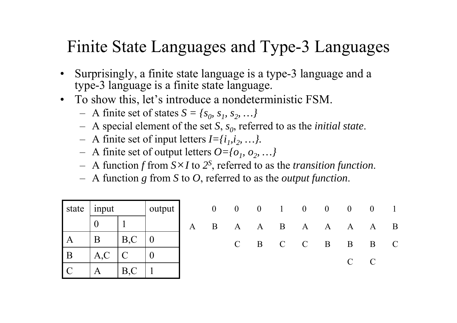#### Finite State Languages and Type-3 Languages

- • Surprisingly, a finite state language is a type-3 language and a type-3 language is a finite state language.
- To show this, let's introduce a nondeterministic FSM.
	- $-$  A finite set of states  $S = \{s_0, s_1, s_2, ...\}$
	- A special element of the set S,  $s_0$ , referred to as the *initial state*.
	- A finite set of input letters  $I = \{i_1, i_2, \ldots\}$ .
	- A finite set of output letters  $O = \{o_1, o_2, ...\}$
	- $-$  A function f from  $S \times I$  to  $2^S$ , referred to as the *transition function*.
	- A function *g* from *S* to *O*, referred to as the *output function*.

|                | state $ $ input |                         | output | $0 \t 0 \t 0 \t 1 \t 0 \t 0 \t 0 \t 1$ |                 |  |  |               |              |
|----------------|-----------------|-------------------------|--------|----------------------------------------|-----------------|--|--|---------------|--------------|
|                |                 |                         |        | A B A A B A A A A                      |                 |  |  |               | $\mathbf{B}$ |
| $\mathbf{A}$   |                 | B, C                    |        |                                        | C B C C B B B C |  |  |               |              |
| $\overline{B}$ | A, C            | $\overline{\mathsf{C}}$ |        |                                        |                 |  |  | $\mathcal{C}$ |              |
|                | A               | B, C                    |        |                                        |                 |  |  |               |              |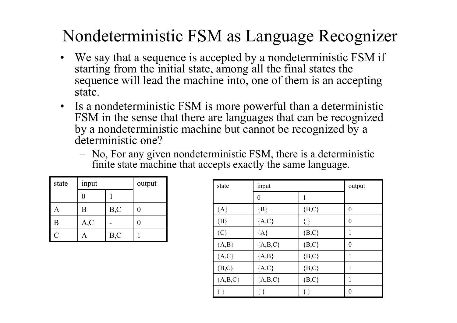#### Nondeterministic FSM as Language Recognizer

- We say that a sequence is accepted by a nondeterministic FSM if starting from the initial state, among all the final states the sequence will lead the machine into, one of them is an accepting state.
- • Is a nondeterministic FSM is more powerful than a deterministic FSM in the sense that there are languages that can be recognized by a nondeterministic machine but cannot be recognized by a deterministic one?
	- No, For any given nondeterministic FSM, there is a deterministic finite state machine that accepts exactly the same language.

| state          | input | output |   |
|----------------|-------|--------|---|
|                |       |        |   |
|                | Β     | B, C   | 0 |
| B              | A, C  |        |   |
| $\overline{C}$ |       | B, C   |   |

| input          |      | output           | state     | input            |           | output           |
|----------------|------|------------------|-----------|------------------|-----------|------------------|
| $\overline{0}$ |      |                  |           | $\boldsymbol{0}$ |           |                  |
| $\mathbf B$    | B, C | $\boldsymbol{0}$ | ${A}$     | ${B}$            | ${B, C}$  | $\boldsymbol{0}$ |
| A, C           |      | $\boldsymbol{0}$ | ${B}$     | ${A, C}$         | $\{\,\}$  | $\boldsymbol{0}$ |
| A              | B, C |                  | ${C}$     | ${A}$            | $\{B,C\}$ | -1               |
|                |      |                  | ${A,B}$   | ${A,B,C}$        | $\{B,C\}$ | $\boldsymbol{0}$ |
|                |      |                  | ${A, C}$  | ${A,B}$          | ${B, C}$  |                  |
|                |      |                  | $\{B,C\}$ | ${A, C}$         | ${B, C}$  |                  |
|                |      |                  | ${A,B,C}$ | ${A,B,C}$        | ${B, C}$  | 1                |
|                |      |                  | $\{\,\}$  | $\{\,\}$         | $\{\}$    | $\boldsymbol{0}$ |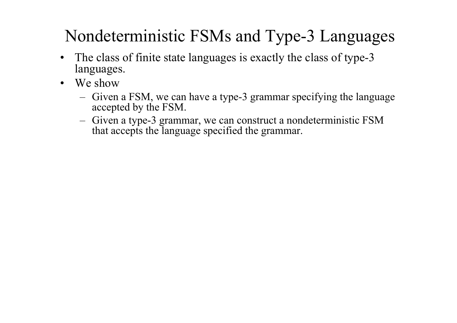#### Nondeterministic FSMs and Type-3 Languages

- • The class of finite state lan gua ges is exactl y the class of t ype-3 languages.
- We show
	- <del>– 2000 2000 2000 2000 2000</del> Given a FSM, we can have a type-3 grammar specifying the language accepted by the FSM.
	- <del>– 2000 2000 2000 2000 2000</del> Given a type-3 grammar, we can construct a nondeterministic FSM that accepts the language specified the grammar.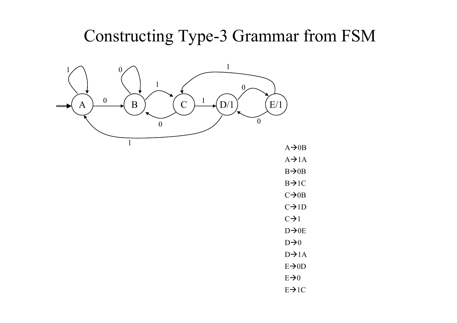#### Constructing Type-3 Grammar from FSM



 $A\rightarrow$  0B

 $A \rightarrow 1A$ 

 $B\rightarrow$  0B

 $B\rightarrow$  1C

 $C\rightarrow$  0B

 $C\rightarrow1D$ 

 $C\rightarrow 1$ 

D→0E

 $D\rightarrow 0$  $D\rightarrow 1A$ 

 $E\rightarrow$ OD

 $E\rightarrow 0$ 

 $E\rightarrow 1C$